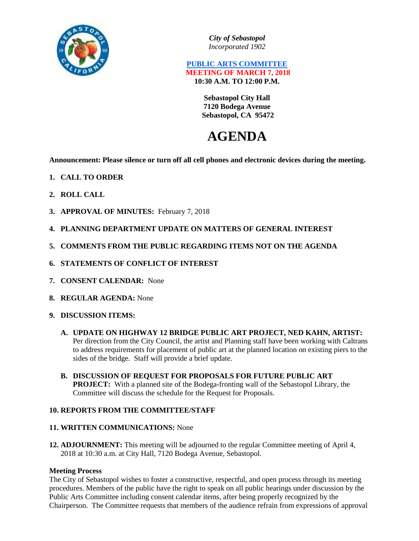

*City of Sebastopol Incorporated 1902*

# **PUBLIC ARTS COMMITTEE MEETING OF MARCH 7, 2018 10:30 A.M. TO 12:00 P.M.**

**Sebastopol City Hall 7120 Bodega Avenue Sebastopol, CA 95472**

# **AGENDA**

**Announcement: Please silence or turn off all cell phones and electronic devices during the meeting.**

- **1. CALL TO ORDER**
- **2. ROLL CALL**
- **3. APPROVAL OF MINUTES:** February 7, 2018
- **4. PLANNING DEPARTMENT UPDATE ON MATTERS OF GENERAL INTEREST**
- **5. COMMENTS FROM THE PUBLIC REGARDING ITEMS NOT ON THE AGENDA**
- **6. STATEMENTS OF CONFLICT OF INTEREST**
- **7. CONSENT CALENDAR:** None
- **8. REGULAR AGENDA:** None
- **9. DISCUSSION ITEMS:**
	- **A. UPDATE ON HIGHWAY 12 BRIDGE PUBLIC ART PROJECT, NED KAHN, ARTIST:**  Per direction from the City Council, the artist and Planning staff have been working with Caltrans to address requirements for placement of public art at the planned location on existing piers to the sides of the bridge. Staff will provide a brief update.
	- **B. DISCUSSION OF REQUEST FOR PROPOSALS FOR FUTURE PUBLIC ART PROJECT:** With a planned site of the Bodega-fronting wall of the Sebastopol Library, the Committee will discuss the schedule for the Request for Proposals.

## **10. REPORTS FROM THE COMMITTEE/STAFF**

## **11. WRITTEN COMMUNICATIONS:** None

**12. ADJOURNMENT:** This meeting will be adjourned to the regular Committee meeting of April 4, 2018 at 10:30 a.m. at City Hall, 7120 Bodega Avenue, Sebastopol.

## **Meeting Process**

The City of Sebastopol wishes to foster a constructive, respectful, and open process through its meeting procedures. Members of the public have the right to speak on all public hearings under discussion by the Public Arts Committee including consent calendar items, after being properly recognized by the Chairperson. The Committee requests that members of the audience refrain from expressions of approval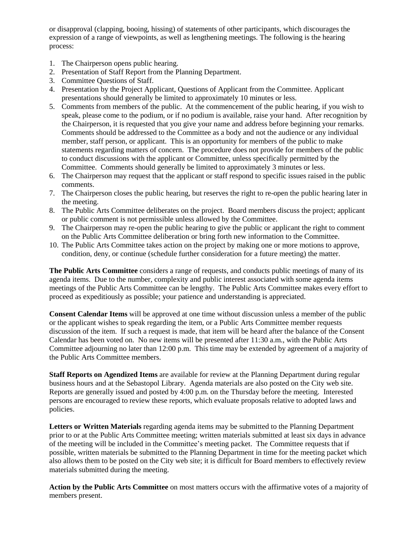or disapproval (clapping, booing, hissing) of statements of other participants, which discourages the expression of a range of viewpoints, as well as lengthening meetings. The following is the hearing process:

- 1. The Chairperson opens public hearing.
- 2. Presentation of Staff Report from the Planning Department.
- 3. Committee Questions of Staff.
- 4. Presentation by the Project Applicant, Questions of Applicant from the Committee. Applicant presentations should generally be limited to approximately 10 minutes or less.
- 5. Comments from members of the public. At the commencement of the public hearing, if you wish to speak, please come to the podium, or if no podium is available, raise your hand. After recognition by the Chairperson, it is requested that you give your name and address before beginning your remarks. Comments should be addressed to the Committee as a body and not the audience or any individual member, staff person, or applicant. This is an opportunity for members of the public to make statements regarding matters of concern. The procedure does not provide for members of the public to conduct discussions with the applicant or Committee, unless specifically permitted by the Committee. Comments should generally be limited to approximately 3 minutes or less.
- 6. The Chairperson may request that the applicant or staff respond to specific issues raised in the public comments.
- 7. The Chairperson closes the public hearing, but reserves the right to re-open the public hearing later in the meeting.
- 8. The Public Arts Committee deliberates on the project. Board members discuss the project; applicant or public comment is not permissible unless allowed by the Committee.
- 9. The Chairperson may re-open the public hearing to give the public or applicant the right to comment on the Public Arts Committee deliberation or bring forth new information to the Committee.
- 10. The Public Arts Committee takes action on the project by making one or more motions to approve, condition, deny, or continue (schedule further consideration for a future meeting) the matter.

**The Public Arts Committee** considers a range of requests, and conducts public meetings of many of its agenda items. Due to the number, complexity and public interest associated with some agenda items meetings of the Public Arts Committee can be lengthy. The Public Arts Committee makes every effort to proceed as expeditiously as possible; your patience and understanding is appreciated.

**Consent Calendar Items** will be approved at one time without discussion unless a member of the public or the applicant wishes to speak regarding the item, or a Public Arts Committee member requests discussion of the item. If such a request is made, that item will be heard after the balance of the Consent Calendar has been voted on. No new items will be presented after 11:30 a.m., with the Public Arts Committee adjourning no later than 12:00 p.m. This time may be extended by agreement of a majority of the Public Arts Committee members.

**Staff Reports on Agendized Items** are available for review at the Planning Department during regular business hours and at the Sebastopol Library. Agenda materials are also posted on the City web site. Reports are generally issued and posted by 4:00 p.m. on the Thursday before the meeting. Interested persons are encouraged to review these reports, which evaluate proposals relative to adopted laws and policies.

**Letters or Written Materials** regarding agenda items may be submitted to the Planning Department prior to or at the Public Arts Committee meeting; written materials submitted at least six days in advance of the meeting will be included in the Committee's meeting packet. The Committee requests that if possible, written materials be submitted to the Planning Department in time for the meeting packet which also allows them to be posted on the City web site; it is difficult for Board members to effectively review materials submitted during the meeting.

**Action by the Public Arts Committee** on most matters occurs with the affirmative votes of a majority of members present.